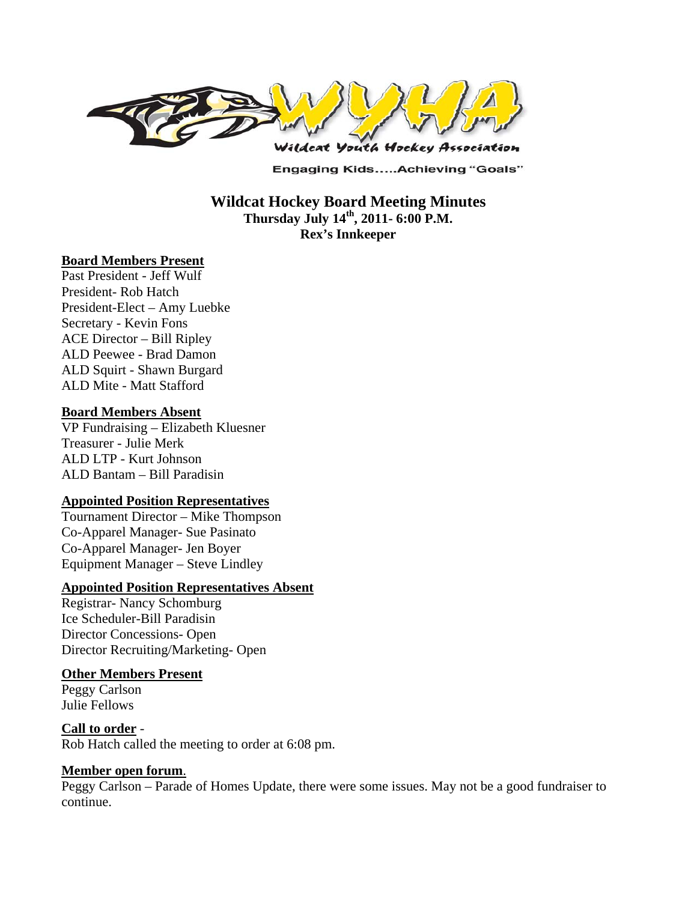

**Engaging Kids.....Achieving "Goals"** 

**Wildcat Hockey Board Meeting Minutes Thursday July 14th, 2011- 6:00 P.M. Rex's Innkeeper** 

#### **Board Members Present**

Past President - Jeff Wulf President- Rob Hatch President-Elect – Amy Luebke Secretary - Kevin Fons ACE Director – Bill Ripley ALD Peewee - Brad Damon ALD Squirt - Shawn Burgard ALD Mite - Matt Stafford

#### **Board Members Absent**

VP Fundraising – Elizabeth Kluesner Treasurer - Julie Merk ALD LTP - Kurt Johnson ALD Bantam – Bill Paradisin

### **Appointed Position Representatives**

Tournament Director – Mike Thompson Co-Apparel Manager- Sue Pasinato Co-Apparel Manager- Jen Boyer Equipment Manager – Steve Lindley

#### **Appointed Position Representatives Absent**

Registrar- Nancy Schomburg Ice Scheduler-Bill Paradisin Director Concessions- Open Director Recruiting/Marketing- Open

#### **Other Members Present**

Peggy Carlson Julie Fellows

### **Call to order** -

Rob Hatch called the meeting to order at 6:08 pm.

### **Member open forum**.

Peggy Carlson – Parade of Homes Update, there were some issues. May not be a good fundraiser to continue.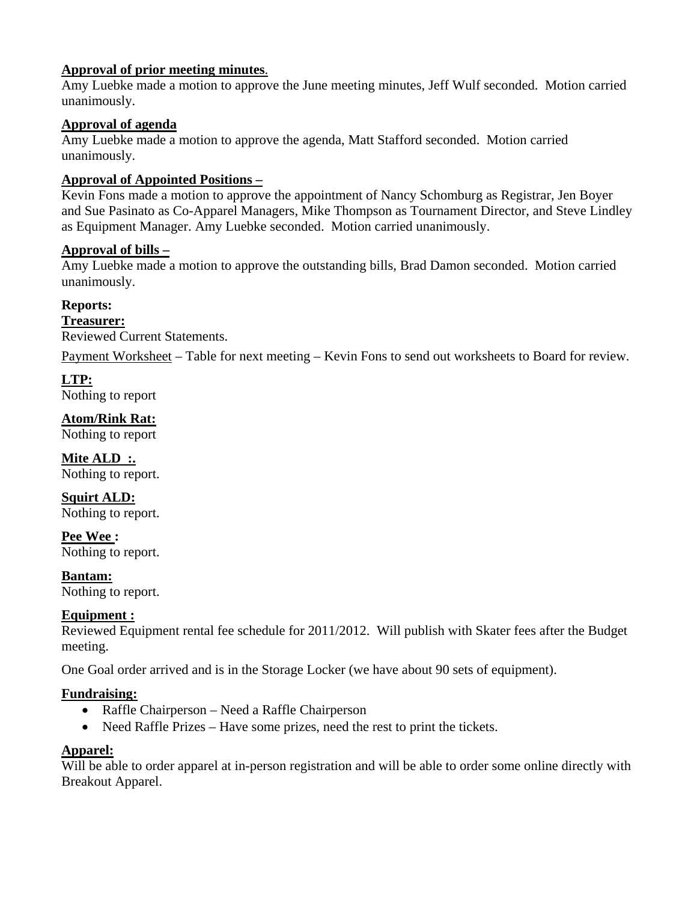# **Approval of prior meeting minutes**.

Amy Luebke made a motion to approve the June meeting minutes, Jeff Wulf seconded. Motion carried unanimously.

# **Approval of agenda**

Amy Luebke made a motion to approve the agenda, Matt Stafford seconded. Motion carried unanimously.

# **Approval of Appointed Positions –**

Kevin Fons made a motion to approve the appointment of Nancy Schomburg as Registrar, Jen Boyer and Sue Pasinato as Co-Apparel Managers, Mike Thompson as Tournament Director, and Steve Lindley as Equipment Manager. Amy Luebke seconded. Motion carried unanimously.

### **Approval of bills –**

Amy Luebke made a motion to approve the outstanding bills, Brad Damon seconded. Motion carried unanimously.

### **Reports:**

**Treasurer:**  Reviewed Current Statements.

Payment Worksheet – Table for next meeting – Kevin Fons to send out worksheets to Board for review.

### **LTP:**

Nothing to report

**Atom/Rink Rat:** 

Nothing to report

**Mite ALD :.**  Nothing to report.

**Squirt ALD:**  Nothing to report.

**Pee Wee :**  Nothing to report.

**Bantam:**  Nothing to report.

# **Equipment :**

Reviewed Equipment rental fee schedule for 2011/2012. Will publish with Skater fees after the Budget meeting.

One Goal order arrived and is in the Storage Locker (we have about 90 sets of equipment).

### **Fundraising:**

- Raffle Chairperson Need a Raffle Chairperson
- Need Raffle Prizes Have some prizes, need the rest to print the tickets.

# **Apparel:**

Will be able to order apparel at in-person registration and will be able to order some online directly with Breakout Apparel.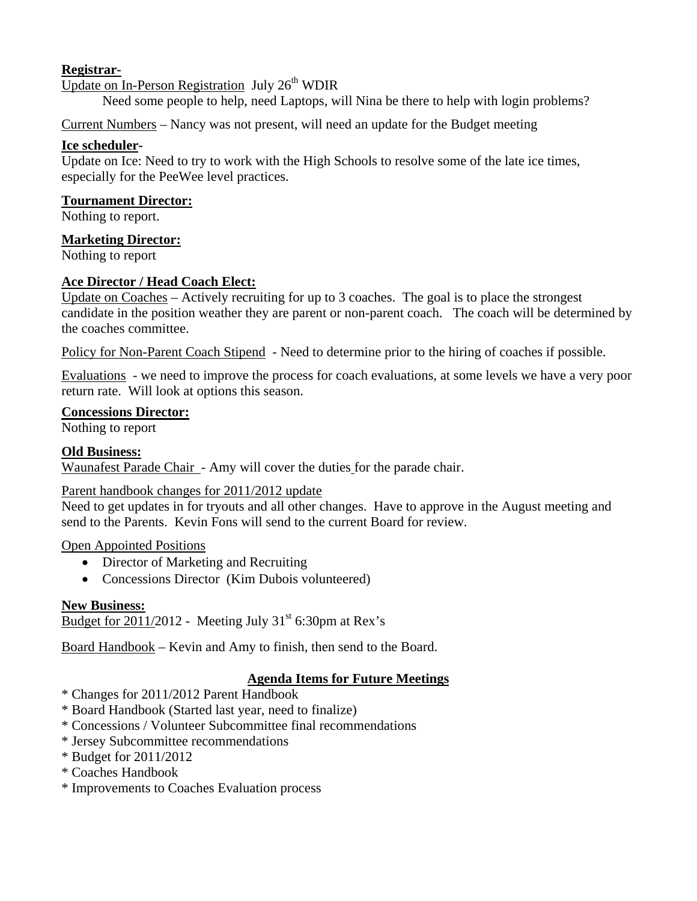# **Registrar-**

Update on In-Person Registration July  $26<sup>th</sup>$  WDIR

Need some people to help, need Laptops, will Nina be there to help with login problems?

Current Numbers – Nancy was not present, will need an update for the Budget meeting

### **Ice scheduler-**

Update on Ice: Need to try to work with the High Schools to resolve some of the late ice times, especially for the PeeWee level practices.

#### **Tournament Director:**

Nothing to report.

### **Marketing Director:**

Nothing to report

### **Ace Director / Head Coach Elect:**

Update on Coaches – Actively recruiting for up to 3 coaches. The goal is to place the strongest candidate in the position weather they are parent or non-parent coach. The coach will be determined by the coaches committee.

Policy for Non-Parent Coach Stipend - Need to determine prior to the hiring of coaches if possible.

Evaluations - we need to improve the process for coach evaluations, at some levels we have a very poor return rate. Will look at options this season.

### **Concessions Director:**

Nothing to report

### **Old Business:**

Waunafest Parade Chair - Amy will cover the duties for the parade chair.

### Parent handbook changes for 2011/2012 update

Need to get updates in for tryouts and all other changes. Have to approve in the August meeting and send to the Parents. Kevin Fons will send to the current Board for review.

### Open Appointed Positions

- Director of Marketing and Recruiting
- Concessions Director (Kim Dubois volunteered)

### **New Business:**

Budget for 2011/2012 - Meeting July  $31<sup>st</sup>$  6:30pm at Rex's

Board Handbook – Kevin and Amy to finish, then send to the Board.

# **Agenda Items for Future Meetings**

- \* Changes for 2011/2012 Parent Handbook
- \* Board Handbook (Started last year, need to finalize)
- \* Concessions / Volunteer Subcommittee final recommendations
- \* Jersey Subcommittee recommendations
- \* Budget for 2011/2012
- \* Coaches Handbook
- \* Improvements to Coaches Evaluation process